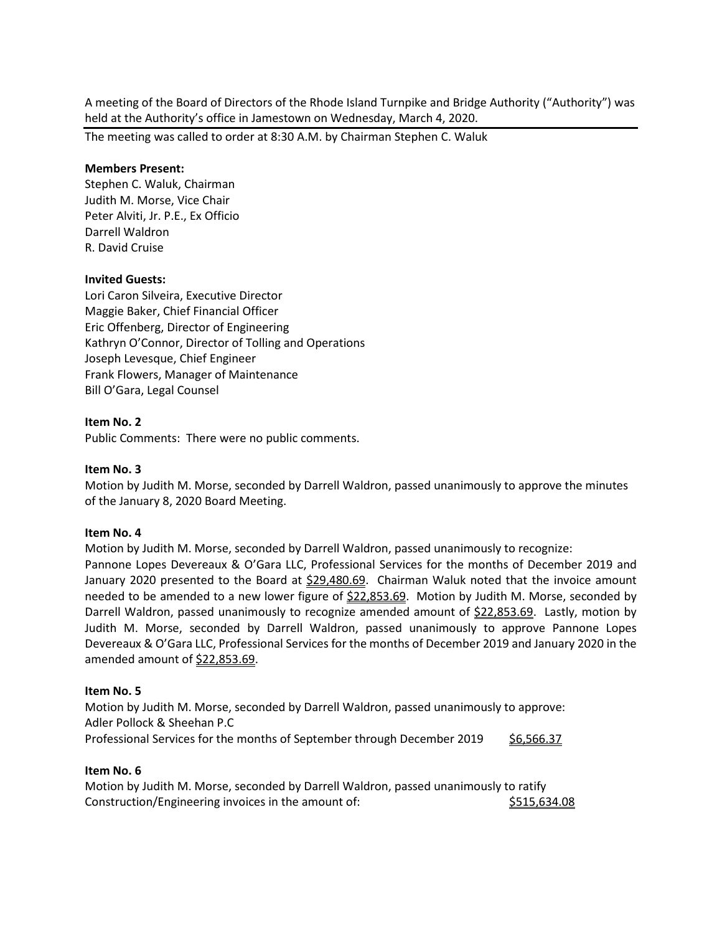A meeting of the Board of Directors of the Rhode Island Turnpike and Bridge Authority ("Authority") was held at the Authority's office in Jamestown on Wednesday, March 4, 2020.

The meeting was called to order at 8:30 A.M. by Chairman Stephen C. Waluk

### **Members Present:**

Stephen C. Waluk, Chairman Judith M. Morse, Vice Chair Peter Alviti, Jr. P.E., Ex Officio Darrell Waldron R. David Cruise

### **Invited Guests:**

Lori Caron Silveira, Executive Director Maggie Baker, Chief Financial Officer Eric Offenberg, Director of Engineering Kathryn O'Connor, Director of Tolling and Operations Joseph Levesque, Chief Engineer Frank Flowers, Manager of Maintenance Bill O'Gara, Legal Counsel

### **Item No. 2**

Public Comments: There were no public comments.

#### **Item No. 3**

Motion by Judith M. Morse, seconded by Darrell Waldron, passed unanimously to approve the minutes of the January 8, 2020 Board Meeting.

#### **Item No. 4**

Motion by Judith M. Morse, seconded by Darrell Waldron, passed unanimously to recognize:

Pannone Lopes Devereaux & O'Gara LLC, Professional Services for the months of December 2019 and January 2020 presented to the Board at \$29,480.69. Chairman Waluk noted that the invoice amount needed to be amended to a new lower figure of \$22,853.69. Motion by Judith M. Morse, seconded by Darrell Waldron, passed unanimously to recognize amended amount of \$22,853.69. Lastly, motion by Judith M. Morse, seconded by Darrell Waldron, passed unanimously to approve Pannone Lopes Devereaux & O'Gara LLC, Professional Services for the months of December 2019 and January 2020 in the amended amount of  $$22,853.69$ .

#### **Item No. 5**

Motion by Judith M. Morse, seconded by Darrell Waldron, passed unanimously to approve: Adler Pollock & Sheehan P.C Professional Services for the months of September through December 2019 \$6,566.37

### **Item No. 6**

Motion by Judith M. Morse, seconded by Darrell Waldron, passed unanimously to ratify Construction/Engineering invoices in the amount of:  $$515,634.08$